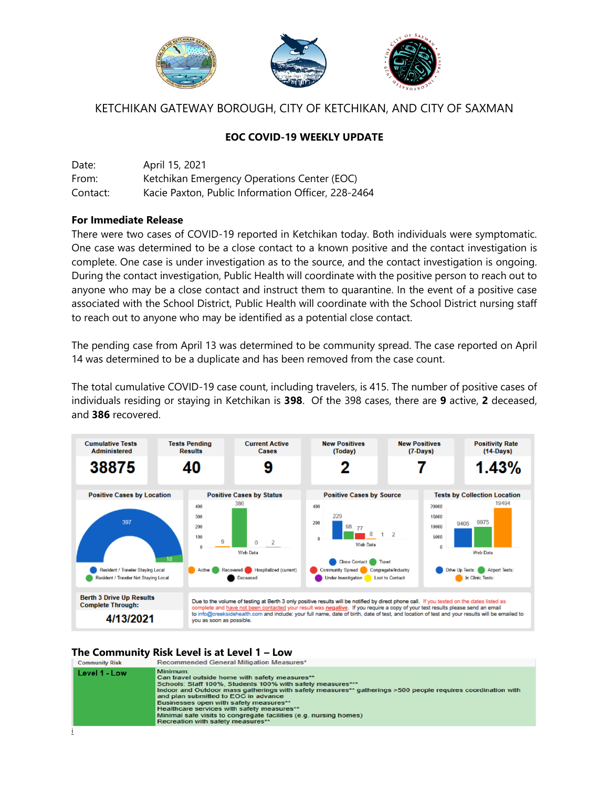

# KETCHIKAN GATEWAY BOROUGH, CITY OF KETCHIKAN, AND CITY OF SAXMAN

## **EOC COVID-19 WEEKLY UPDATE**

Date: April 15, 2021 From: Ketchikan Emergency Operations Center (EOC) Contact: Kacie Paxton, Public Information Officer, 228-2464

### **For Immediate Release**

There were two cases of COVID-19 reported in Ketchikan today. Both individuals were symptomatic. One case was determined to be a close contact to a known positive and the contact investigation is complete. One case is under investigation as to the source, and the contact investigation is ongoing. During the contact investigation, Public Health will coordinate with the positive person to reach out to anyone who may be a close contact and instruct them to quarantine. In the event of a positive case associated with the School District, Public Health will coordinate with the School District nursing staff to reach out to anyone who may be identified as a potential close contact.

The pending case from April 13 was determined to be community spread. The case reported on April 14 was determined to be a duplicate and has been removed from the case count.

The total cumulative COVID-19 case count, including travelers, is 415. The number of positive cases of individuals residing or staying in Ketchikan is **398**. Of the 398 cases, there are **9** active, **2** deceased, and **386** recovered.



# **The Community Risk Level is at Level 1 – Low**

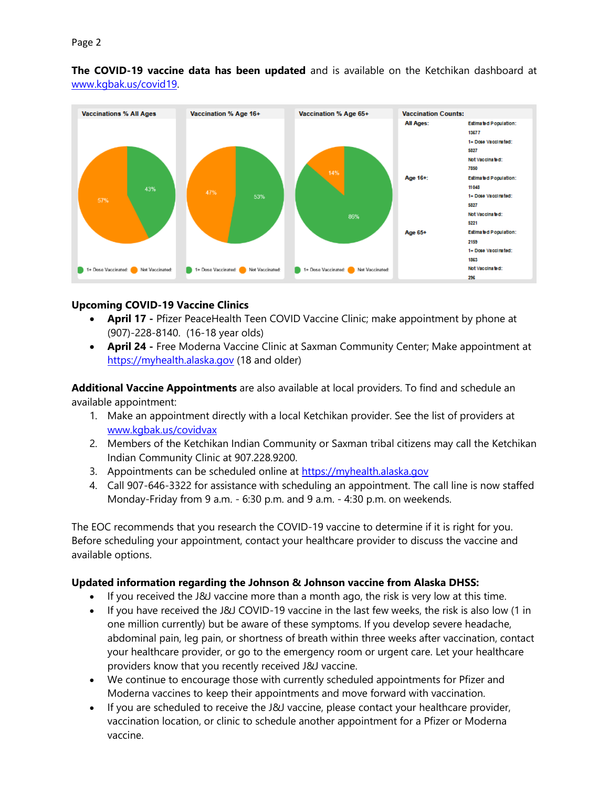**The COVID-19 vaccine data has been updated** and is available on the Ketchikan dashboard at [www.kgbak.us/covid19.](http://www.kgbak.us/covid19)



## **Upcoming COVID-19 Vaccine Clinics**

- **April 17 -** Pfizer PeaceHealth Teen COVID Vaccine Clinic; make appointment by phone at (907)-228-8140. (16-18 year olds)
- **April 24 -** Free Moderna Vaccine Clinic at Saxman Community Center; Make appointment at [https://myhealth.alaska.gov](https://myhealth.alaska.gov/) (18 and older)

**Additional Vaccine Appointments** are also available at local providers. To find and schedule an available appointment:

- 1. Make an appointment directly with a local Ketchikan provider. See the list of providers at [www.kgbak.us/covidvax](http://www.kgbak.us/covidvax)
- 2. Members of the Ketchikan Indian Community or Saxman tribal citizens may call the Ketchikan Indian Community Clinic at 907.228.9200.
- 3. Appointments can be scheduled online at [https://myhealth.alaska.gov](https://myhealth.alaska.gov/)
- 4. Call 907-646-3322 for assistance with scheduling an appointment. The call line is now staffed Monday-Friday from 9 a.m. - 6:30 p.m. and 9 a.m. - 4:30 p.m. on weekends.

The EOC recommends that you research the COVID-19 vaccine to determine if it is right for you. Before scheduling your appointment, contact your healthcare provider to discuss the vaccine and available options.

## **Updated information regarding the Johnson & Johnson vaccine from Alaska DHSS:**

- If you received the J&J vaccine more than a month ago, the risk is very low at this time.
- If you have received the J&J COVID-19 vaccine in the last few weeks, the risk is also low (1 in one million currently) but be aware of these symptoms. If you develop severe headache, abdominal pain, leg pain, or shortness of breath within three weeks after vaccination, contact your healthcare provider, or go to the emergency room or urgent care. Let your healthcare providers know that you recently received J&J vaccine.
- We continue to encourage those with currently scheduled appointments for Pfizer and Moderna vaccines to keep their appointments and move forward with vaccination.
- If you are scheduled to receive the J&J vaccine, please contact your healthcare provider, vaccination location, or clinic to schedule another appointment for a Pfizer or Moderna vaccine.